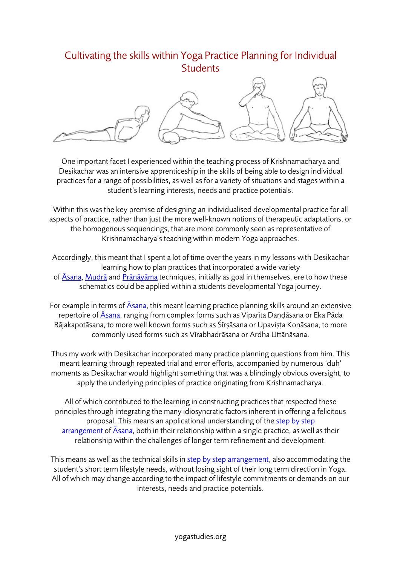## Cultivating the skills within Yoga Practice Planning for Individual **Students**



One important facet I experienced within the teaching process of Krishnamacharya and Desikachar was an intensive apprenticeship in the skills of being able to design individual practices for a range of possibilities, as well as for a variety of situations and stages within a student's learning interests, needs and practice potentials.

Within this was the key premise of designing an individualised developmental practice for all aspects of practice, rather than just the more well-known notions of therapeutic adaptations, or the homogenous sequencings, that are more commonly seen as representative of Krishnamacharya's teaching within modern Yoga approaches.

Accordingly, this meant that I spent a lot of time over the years in my lessons with Desikachar learning how to plan practices that incorporated a wide variety of Āsana, Mudrā and Prāṇāyāma techniques, initially as goal in themselves, ere to how these schematics could be applied within a students developmental Yoga journey.

For example in terms of  $\overline{Asana}$ , this meant learning practice planning skills around an extensive repertoire of Asana, ranging from complex forms such as Viparīta Daṇḍāsana or Eka Pāda Rājakapotāsana, to more well known forms such as Śīrṣāsana or Upaviṣṭa Koṇāsana, to more commonly used forms such as Vīrabhadrāsana or Ardha Uttānāsana.

Thus my work with Desikachar incorporated many practice planning questions from him. This meant learning through repeated trial and error efforts, accompanied by numerous 'duh' moments as Desikachar would highlight something that was a blindingly obvious oversight, to apply the underlying principles of practice originating from Krishnamacharya.

All of which contributed to the learning in constructing practices that respected these principles through integrating the many idiosyncratic factors inherent in offering a felicitous proposal. This means an applicational understanding of the step by step arrangement of Āsana, both in their relationship within a single practice, as well as their relationship within the challenges of longer term refinement and development.

This means as well as the technical skills in step by step arrangement, also accommodating the student's short term lifestyle needs, without losing sight of their long term direction in Yoga. All of which may change according to the impact of lifestyle commitments or demands on our interests, needs and practice potentials.